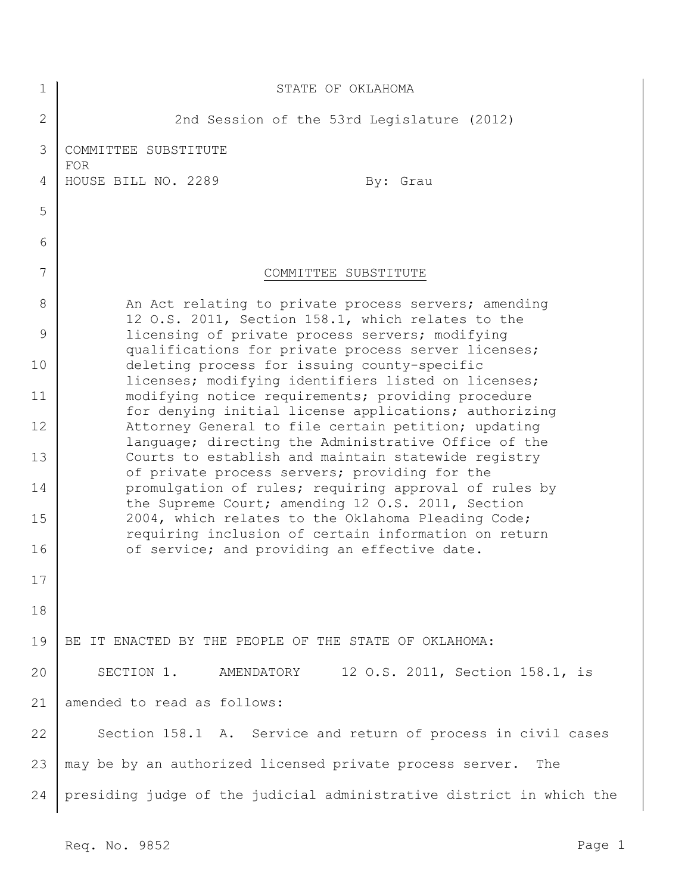| 1              | STATE OF OKLAHOMA                                                                                           |
|----------------|-------------------------------------------------------------------------------------------------------------|
| $\overline{2}$ | 2nd Session of the 53rd Legislature (2012)                                                                  |
| 3              | COMMITTEE SUBSTITUTE                                                                                        |
| 4              | <b>FOR</b><br>HOUSE BILL NO. 2289<br>By: Grau                                                               |
| 5              |                                                                                                             |
| 6              |                                                                                                             |
| 7              | COMMITTEE SUBSTITUTE                                                                                        |
| 8              | An Act relating to private process servers; amending<br>12 O.S. 2011, Section 158.1, which relates to the   |
| 9              | licensing of private process servers; modifying<br>qualifications for private process server licenses;      |
| 10             | deleting process for issuing county-specific<br>licenses; modifying identifiers listed on licenses;         |
| 11             | modifying notice requirements; providing procedure<br>for denying initial license applications; authorizing |
| 12             | Attorney General to file certain petition; updating<br>language; directing the Administrative Office of the |
| 13             | Courts to establish and maintain statewide registry<br>of private process servers; providing for the        |
| 14             | promulgation of rules; requiring approval of rules by<br>the Supreme Court; amending 12 O.S. 2011, Section  |
| 15             | 2004, which relates to the Oklahoma Pleading Code;<br>requiring inclusion of certain information on return  |
| 16             | of service; and providing an effective date.                                                                |
| 17             |                                                                                                             |
| 18             |                                                                                                             |
| 19             | BE IT ENACTED BY THE PEOPLE OF THE STATE OF OKLAHOMA:                                                       |
| 20             | 12 O.S. 2011, Section 158.1, is<br>SECTION 1.<br>AMENDATORY                                                 |
| 21             | amended to read as follows:                                                                                 |
| 22             | Section 158.1 A. Service and return of process in civil cases                                               |
| 23             | may be by an authorized licensed private process server.<br>The                                             |
| 24             | presiding judge of the judicial administrative district in which the                                        |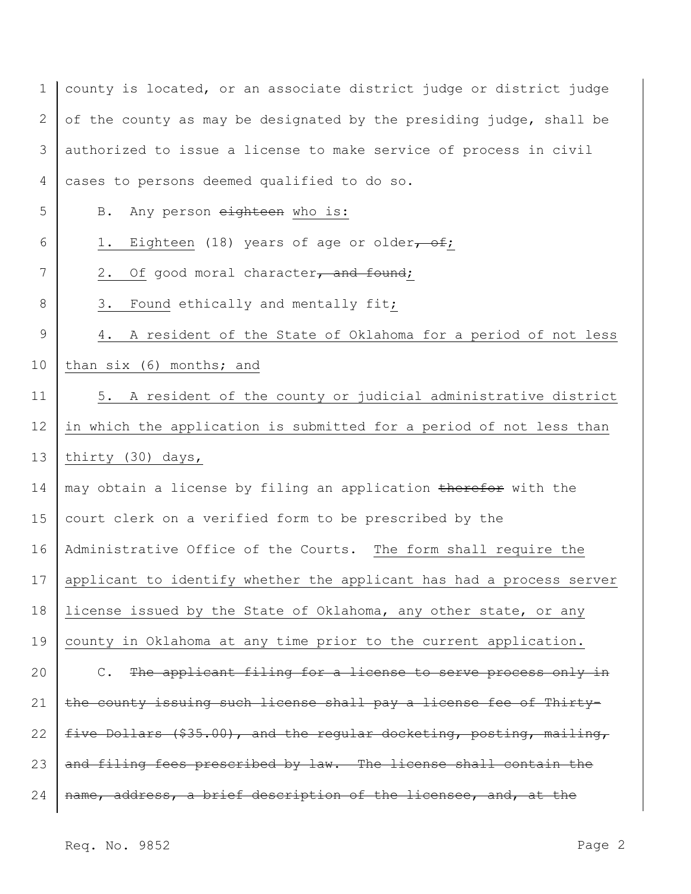1 2 3 4 5 6 7 8 9 10 11 12 13 14 15 16 17 18 19 20 21 22 23 24 county is located, or an associate district judge or district judge of the county as may be designated by the presiding judge, shall be authorized to issue a license to make service of process in civil cases to persons deemed qualified to do so. B. Any person eighteen who is: 1. Eighteen (18) years of age or older, of; 2. Of good moral character, and found; 3. Found ethically and mentally fit; 4. A resident of the State of Oklahoma for a period of not less than six (6) months; and 5. A resident of the county or judicial administrative district in which the application is submitted for a period of not less than thirty (30) days, may obtain a license by filing an application therefor with the court clerk on a verified form to be prescribed by the Administrative Office of the Courts. The form shall require the applicant to identify whether the applicant has had a process server license issued by the State of Oklahoma, any other state, or any county in Oklahoma at any time prior to the current application. C. The applicant filing for a license to serve process only in the county issuing such license shall pay a license fee of Thirtyfive Dollars (\$35.00), and the regular docketing, posting, mailing, and filing fees prescribed by law. The license shall contain the name, address, a brief description of the licensee, and, at the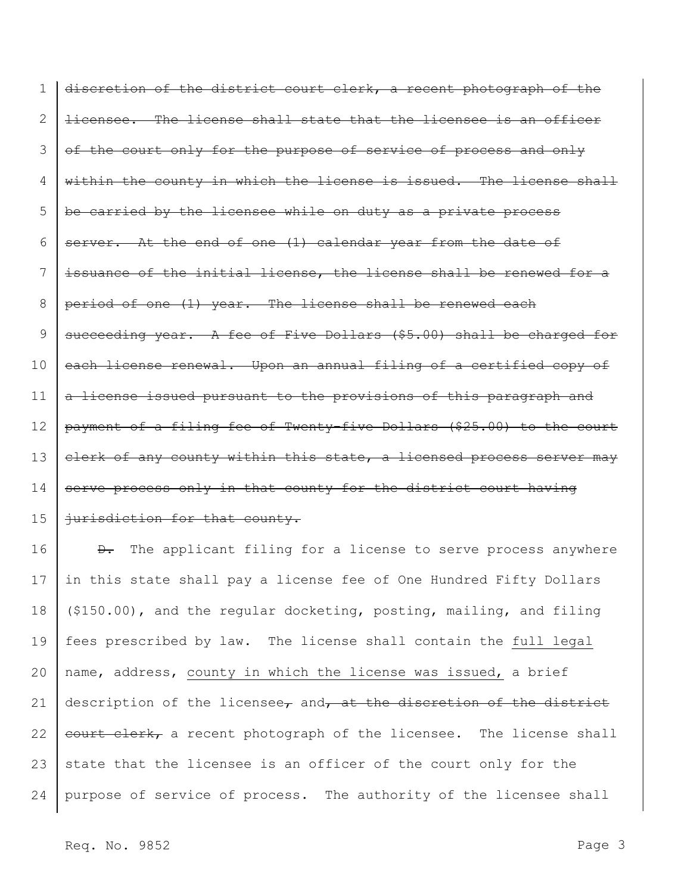1 2 3 4 5 6 7 8 9 10 11 12 13 14 15 discretion of the district court clerk, a recent photograph of the licensee. The license shall state that the licensee is an officer of the court only for the purpose of service of process and only within the county in which the license is issued. The license shall be carried by the licensee while on duty as a private process server. At the end of one (1) calendar year from the date of issuance of the initial license, the license shall be renewed for a period of one (1) year. The license shall be renewed each succeeding year. A fee of Five Dollars (\$5.00) shall be charged for each license renewal. Upon an annual filing of a certified copy of a license issued pursuant to the provisions of this paragraph and payment of a filing fee of Twenty-five Dollars (\$25.00) to the court clerk of any county within this state, a licensed process server may serve process only in that county for the district court having jurisdiction for that county.

16 17 18 19 20 21 22 23 24  $\theta$ . The applicant filing for a license to serve process anywhere in this state shall pay a license fee of One Hundred Fifty Dollars (\$150.00), and the regular docketing, posting, mailing, and filing fees prescribed by law. The license shall contain the full legal name, address, county in which the license was issued, a brief description of the licensee, and, at the discretion of the district court clerk, a recent photograph of the licensee. The license shall state that the licensee is an officer of the court only for the purpose of service of process. The authority of the licensee shall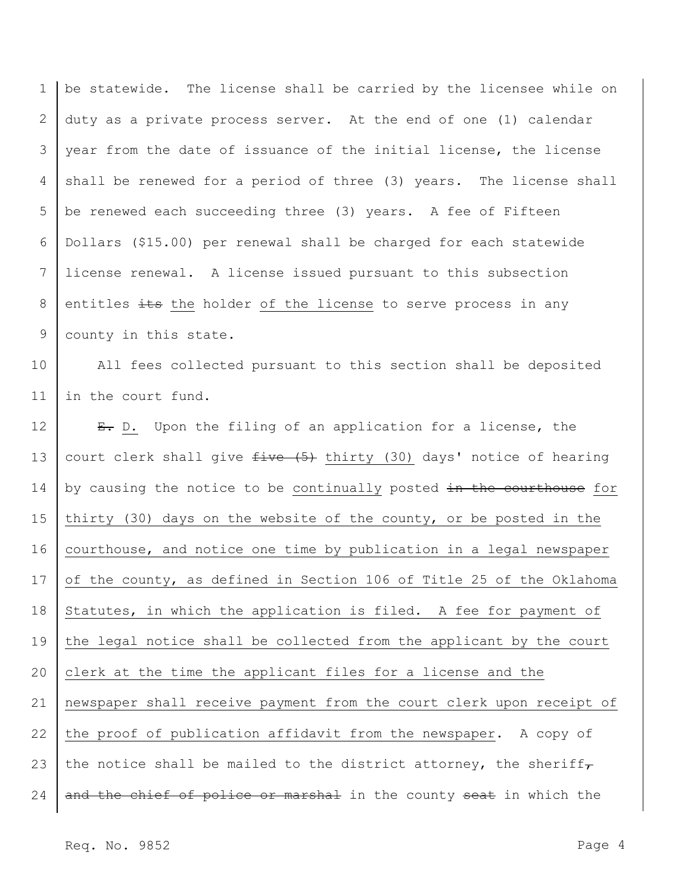1 2 3 4 5 6 7 8 9 be statewide. The license shall be carried by the licensee while on duty as a private process server. At the end of one (1) calendar year from the date of issuance of the initial license, the license shall be renewed for a period of three (3) years. The license shall be renewed each succeeding three (3) years. A fee of Fifteen Dollars (\$15.00) per renewal shall be charged for each statewide license renewal. A license issued pursuant to this subsection entitles its the holder of the license to serve process in any county in this state.

10 11 All fees collected pursuant to this section shall be deposited in the court fund.

12 13 14 15 16 17 18 19 20 21 22 23 24 E. D. Upon the filing of an application for a license, the court clerk shall give  $f$ ive  $(5)$  thirty (30) days' notice of hearing by causing the notice to be continually posted in the courthouse for thirty (30) days on the website of the county, or be posted in the courthouse, and notice one time by publication in a legal newspaper of the county, as defined in Section 106 of Title 25 of the Oklahoma Statutes, in which the application is filed. A fee for payment of the legal notice shall be collected from the applicant by the court clerk at the time the applicant files for a license and the newspaper shall receive payment from the court clerk upon receipt of the proof of publication affidavit from the newspaper. A copy of the notice shall be mailed to the district attorney, the sheriffand the chief of police or marshal in the county seat in which the

Req. No. 9852 Page 4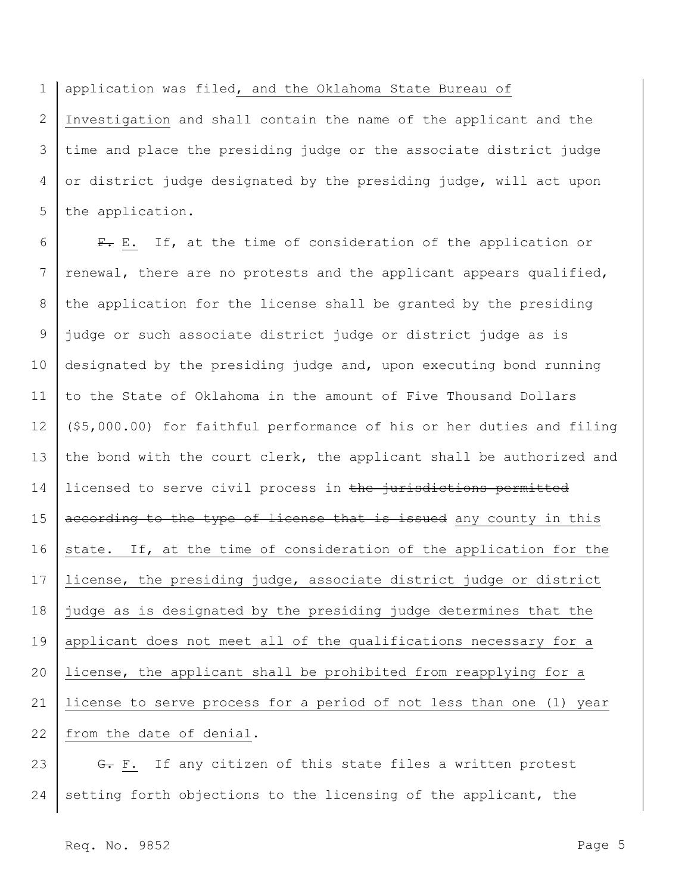1 2 3 4 5 application was filed, and the Oklahoma State Bureau of Investigation and shall contain the name of the applicant and the time and place the presiding judge or the associate district judge or district judge designated by the presiding judge, will act upon the application.

6 7 8 9 10 11 12 13 14 15 16 17 18 19 20 21 22 F. E. If, at the time of consideration of the application or renewal, there are no protests and the applicant appears qualified, the application for the license shall be granted by the presiding judge or such associate district judge or district judge as is designated by the presiding judge and, upon executing bond running to the State of Oklahoma in the amount of Five Thousand Dollars (\$5,000.00) for faithful performance of his or her duties and filing the bond with the court clerk, the applicant shall be authorized and licensed to serve civil process in the jurisdictions permitted according to the type of license that is issued any county in this state. If, at the time of consideration of the application for the license, the presiding judge, associate district judge or district judge as is designated by the presiding judge determines that the applicant does not meet all of the qualifications necessary for a license, the applicant shall be prohibited from reapplying for a license to serve process for a period of not less than one (1) year from the date of denial.

23 24 G. F. If any citizen of this state files a written protest setting forth objections to the licensing of the applicant, the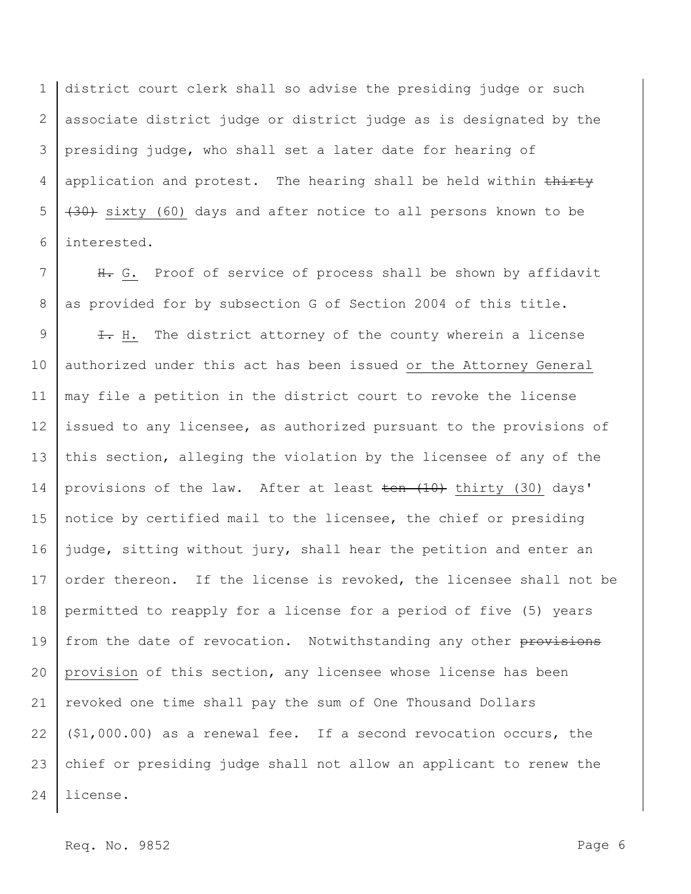1 2 3 4 5 6 district court clerk shall so advise the presiding judge or such associate district judge or district judge as is designated by the presiding judge, who shall set a later date for hearing of application and protest. The hearing shall be held within thirty (30) sixty (60) days and after notice to all persons known to be interested.

7 8 H. G. Proof of service of process shall be shown by affidavit as provided for by subsection G of Section 2004 of this title.

9 10 11 12 13 14 15 16 17 18 19 20 21 22 23 24  $\pm$ . H. The district attorney of the county wherein a license authorized under this act has been issued or the Attorney General may file a petition in the district court to revoke the license issued to any licensee, as authorized pursuant to the provisions of this section, alleging the violation by the licensee of any of the provisions of the law. After at least ten (10) thirty (30) days' notice by certified mail to the licensee, the chief or presiding judge, sitting without jury, shall hear the petition and enter an order thereon. If the license is revoked, the licensee shall not be permitted to reapply for a license for a period of five (5) years from the date of revocation. Notwithstanding any other provisions provision of this section, any licensee whose license has been revoked one time shall pay the sum of One Thousand Dollars (\$1,000.00) as a renewal fee. If a second revocation occurs, the chief or presiding judge shall not allow an applicant to renew the license.

Req. No. 9852 Page 6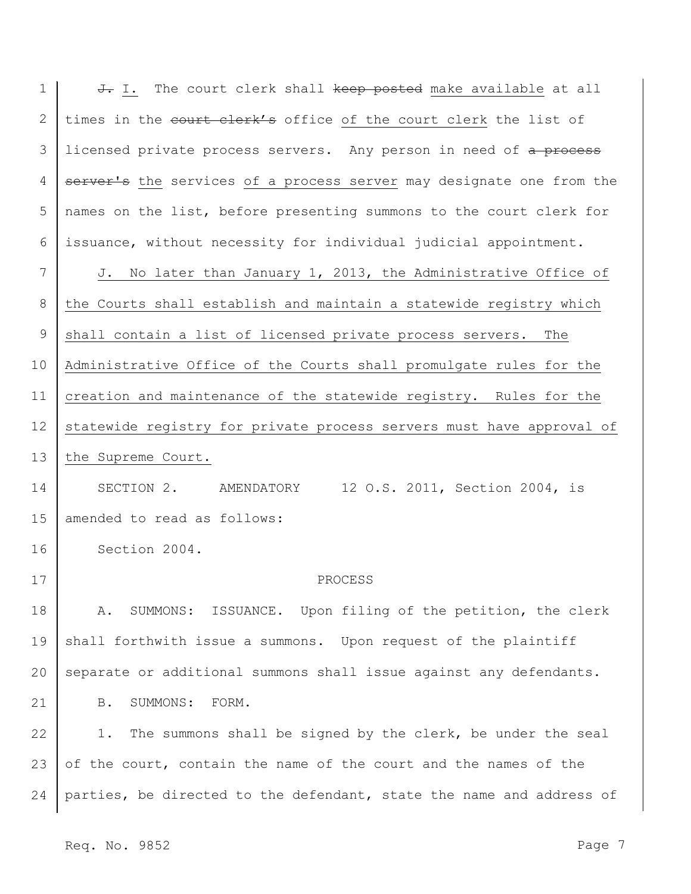1 2 3 4 5 6 7 8 9 10 11 12 13 14 15 16 17 18 19 20 21 22 23 24 J. I. The court clerk shall keep posted make available at all times in the court clerk's office of the court clerk the list of licensed private process servers. Any person in need of a process server's the services of a process server may designate one from the names on the list, before presenting summons to the court clerk for issuance, without necessity for individual judicial appointment. J. No later than January 1, 2013, the Administrative Office of the Courts shall establish and maintain a statewide registry which shall contain a list of licensed private process servers. The Administrative Office of the Courts shall promulgate rules for the creation and maintenance of the statewide registry. Rules for the statewide registry for private process servers must have approval of the Supreme Court. SECTION 2. AMENDATORY 12 O.S. 2011, Section 2004, is amended to read as follows: Section 2004. PROCESS A. SUMMONS: ISSUANCE. Upon filing of the petition, the clerk shall forthwith issue a summons. Upon request of the plaintiff separate or additional summons shall issue against any defendants. B. SUMMONS: FORM. 1. The summons shall be signed by the clerk, be under the seal of the court, contain the name of the court and the names of the parties, be directed to the defendant, state the name and address of

Req. No. 9852 Page 7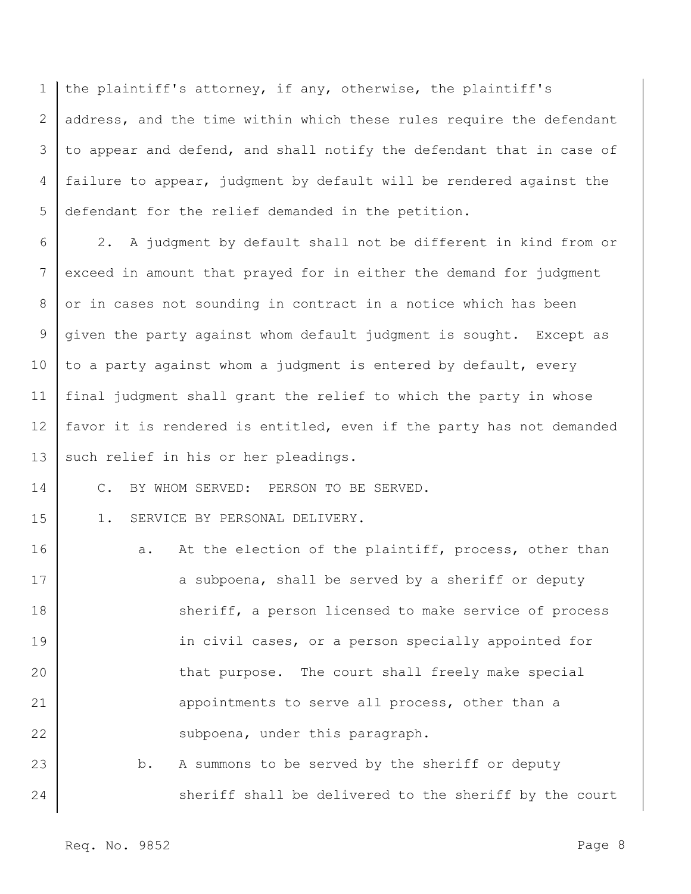1 2 3 4 5 the plaintiff's attorney, if any, otherwise, the plaintiff's address, and the time within which these rules require the defendant to appear and defend, and shall notify the defendant that in case of failure to appear, judgment by default will be rendered against the defendant for the relief demanded in the petition.

6 7 8 9 10 11 12 13 2. A judgment by default shall not be different in kind from or exceed in amount that prayed for in either the demand for judgment or in cases not sounding in contract in a notice which has been given the party against whom default judgment is sought. Except as to a party against whom a judgment is entered by default, every final judgment shall grant the relief to which the party in whose favor it is rendered is entitled, even if the party has not demanded such relief in his or her pleadings.

C. BY WHOM SERVED: PERSON TO BE SERVED.

1. SERVICE BY PERSONAL DELIVERY.

16 17 18 19 20 21 22 a. At the election of the plaintiff, process, other than a subpoena, shall be served by a sheriff or deputy sheriff, a person licensed to make service of process in civil cases, or a person specially appointed for that purpose. The court shall freely make special appointments to serve all process, other than a subpoena, under this paragraph.

## 23 24 b. A summons to be served by the sheriff or deputy sheriff shall be delivered to the sheriff by the court

14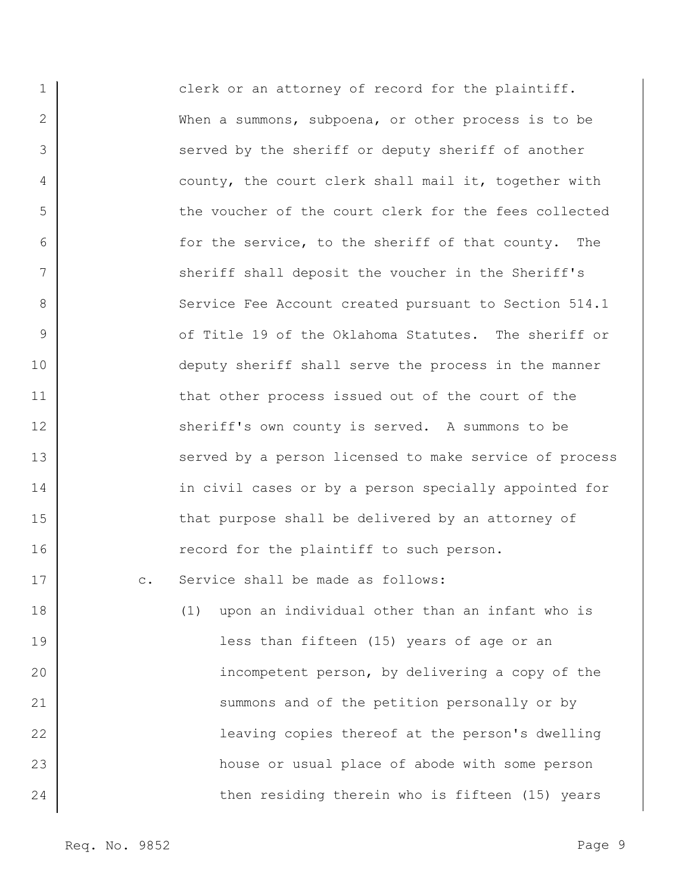1 2 3 4 5 6 7 8 9 10 11 12 13 14 15 16 17 18 19 20 21 22 clerk or an attorney of record for the plaintiff. When a summons, subpoena, or other process is to be served by the sheriff or deputy sheriff of another county, the court clerk shall mail it, together with the voucher of the court clerk for the fees collected for the service, to the sheriff of that county. The sheriff shall deposit the voucher in the Sheriff's Service Fee Account created pursuant to Section 514.1 of Title 19 of the Oklahoma Statutes. The sheriff or deputy sheriff shall serve the process in the manner that other process issued out of the court of the sheriff's own county is served. A summons to be served by a person licensed to make service of process in civil cases or by a person specially appointed for that purpose shall be delivered by an attorney of record for the plaintiff to such person. c. Service shall be made as follows: (1) upon an individual other than an infant who is less than fifteen (15) years of age or an incompetent person, by delivering a copy of the summons and of the petition personally or by leaving copies thereof at the person's dwelling

house or usual place of abode with some person

then residing therein who is fifteen (15) years

23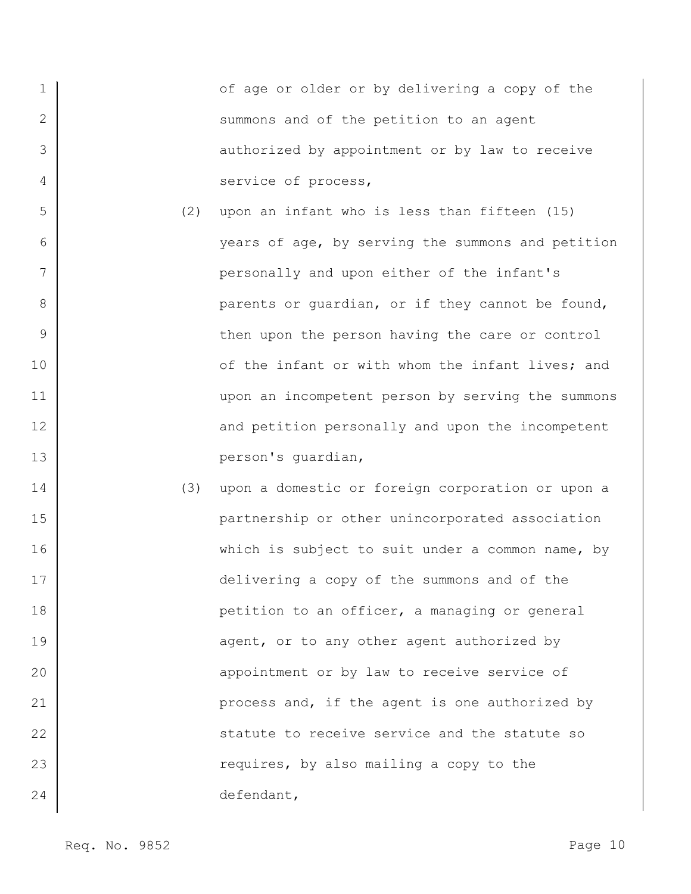|                | of age or older or by delivering a copy of the |
|----------------|------------------------------------------------|
| 2              | summons and of the petition to an agent        |
| 3              | authorized by appointment or by law to receive |
| $\overline{4}$ | service of process,                            |
| 5              | upon an infant who is less than fifteen (15)   |

- (2) upon an infant who is less than fifteen (15) years of age, by serving the summons and petition personally and upon either of the infant's parents or guardian, or if they cannot be found, then upon the person having the care or control of the infant or with whom the infant lives; and upon an incompetent person by serving the summons and petition personally and upon the incompetent person's guardian,
- 14 15 16 17 18 19 20 21 22 23 24 (3) upon a domestic or foreign corporation or upon a partnership or other unincorporated association which is subject to suit under a common name, by delivering a copy of the summons and of the petition to an officer, a managing or general agent, or to any other agent authorized by appointment or by law to receive service of process and, if the agent is one authorized by statute to receive service and the statute so requires, by also mailing a copy to the defendant,

6

7

8

9

10

11

12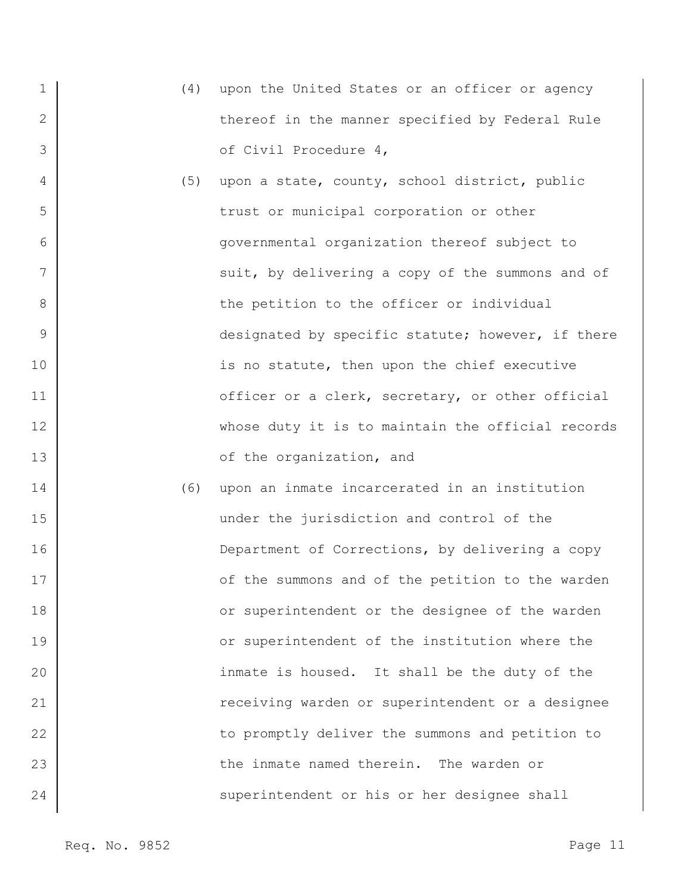- (4) upon the United States or an officer or agency thereof in the manner specified by Federal Rule of Civil Procedure 4,
	- (5) upon a state, county, school district, public trust or municipal corporation or other governmental organization thereof subject to suit, by delivering a copy of the summons and of the petition to the officer or individual designated by specific statute; however, if there is no statute, then upon the chief executive officer or a clerk, secretary, or other official whose duty it is to maintain the official records of the organization, and
- (6) upon an inmate incarcerated in an institution under the jurisdiction and control of the Department of Corrections, by delivering a copy of the summons and of the petition to the warden or superintendent or the designee of the warden or superintendent of the institution where the inmate is housed. It shall be the duty of the receiving warden or superintendent or a designee to promptly deliver the summons and petition to the inmate named therein. The warden or superintendent or his or her designee shall

1

2

3

4

5

6

7

8

9

10

11

12

13

14

15

16

17

18

19

20

21

22

23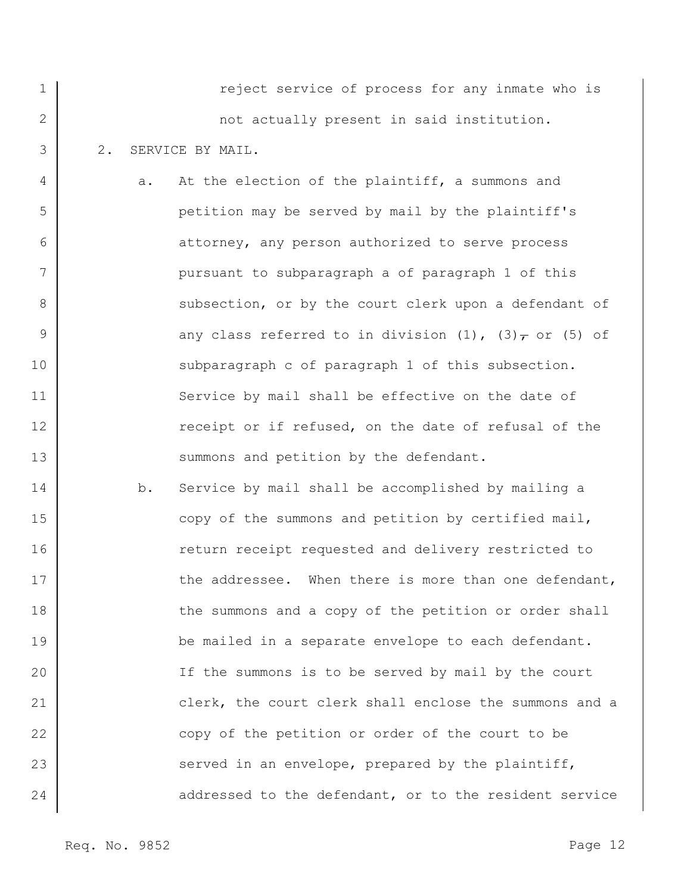reject service of process for any inmate who is not actually present in said institution. 2. SERVICE BY MAIL.

a. At the election of the plaintiff, a summons and petition may be served by mail by the plaintiff's

1

2

3

4

5

6

7

8

9

10

11

12

- attorney, any person authorized to serve process pursuant to subparagraph a of paragraph 1 of this subsection, or by the court clerk upon a defendant of any class referred to in division (1), (3) $\tau$  or (5) of subparagraph c of paragraph 1 of this subsection. Service by mail shall be effective on the date of receipt or if refused, on the date of refusal of the summons and petition by the defendant.
- 14 15 16 17 18 19 20 21 22 23 24 b. Service by mail shall be accomplished by mailing a copy of the summons and petition by certified mail, return receipt requested and delivery restricted to the addressee. When there is more than one defendant, the summons and a copy of the petition or order shall be mailed in a separate envelope to each defendant. If the summons is to be served by mail by the court clerk, the court clerk shall enclose the summons and a copy of the petition or order of the court to be served in an envelope, prepared by the plaintiff, addressed to the defendant, or to the resident service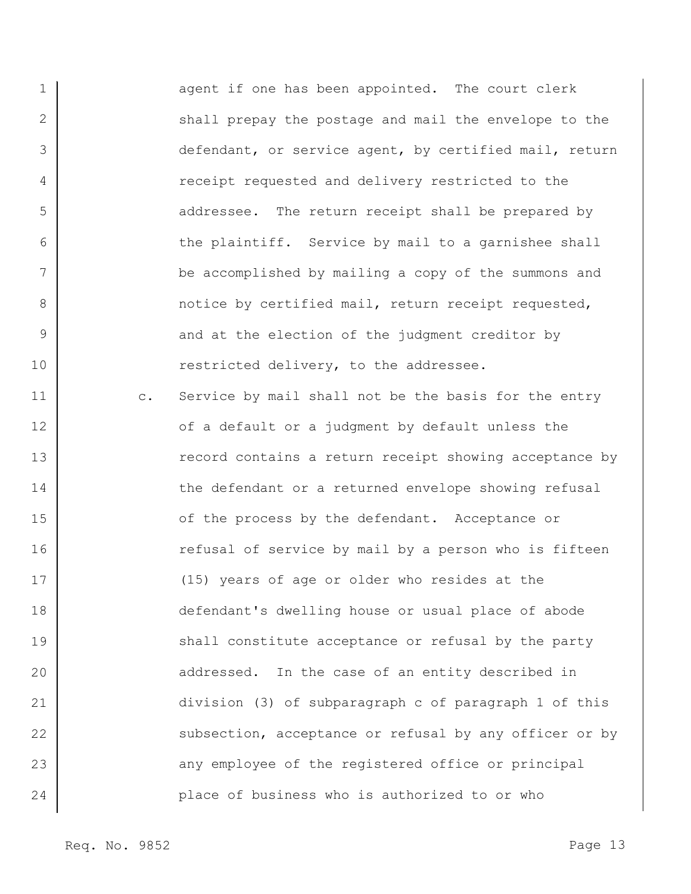1 2 3 4 5 6 7 8 9 10 11 12 13 14 15 16 17 18 19 20 21 22 23 24 agent if one has been appointed. The court clerk shall prepay the postage and mail the envelope to the defendant, or service agent, by certified mail, return receipt requested and delivery restricted to the addressee. The return receipt shall be prepared by the plaintiff. Service by mail to a garnishee shall be accomplished by mailing a copy of the summons and notice by certified mail, return receipt requested, and at the election of the judgment creditor by restricted delivery, to the addressee. c. Service by mail shall not be the basis for the entry of a default or a judgment by default unless the record contains a return receipt showing acceptance by the defendant or a returned envelope showing refusal of the process by the defendant. Acceptance or refusal of service by mail by a person who is fifteen (15) years of age or older who resides at the defendant's dwelling house or usual place of abode shall constitute acceptance or refusal by the party addressed. In the case of an entity described in division (3) of subparagraph c of paragraph 1 of this subsection, acceptance or refusal by any officer or by any employee of the registered office or principal place of business who is authorized to or who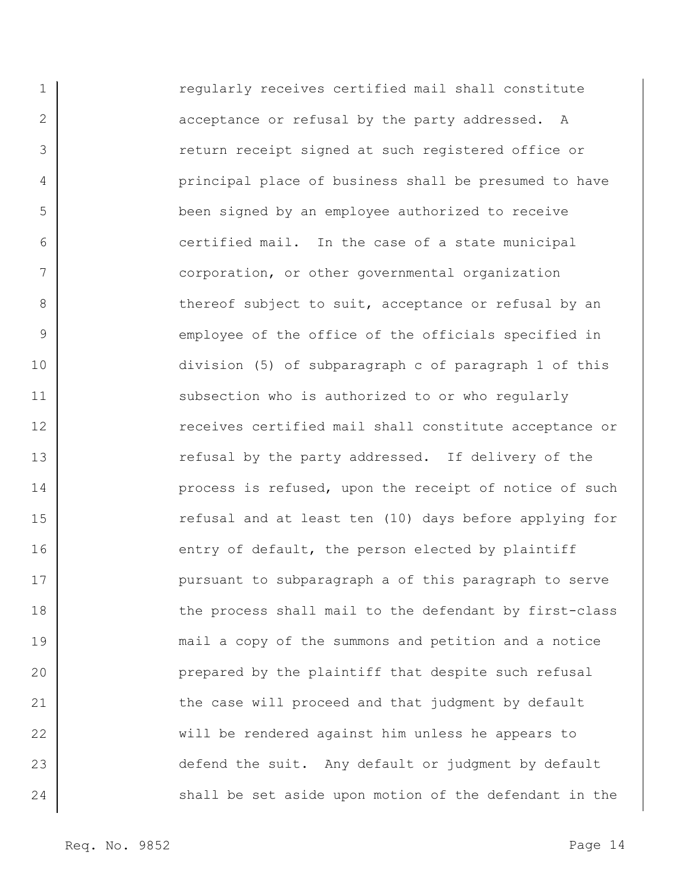1 2 3 4 5 6 7 8 9 10 11 12 13 14 15 16 17 18 19 20 21 22 23 24 regularly receives certified mail shall constitute acceptance or refusal by the party addressed. A return receipt signed at such registered office or principal place of business shall be presumed to have been signed by an employee authorized to receive certified mail. In the case of a state municipal corporation, or other governmental organization thereof subject to suit, acceptance or refusal by an employee of the office of the officials specified in division (5) of subparagraph c of paragraph 1 of this subsection who is authorized to or who regularly receives certified mail shall constitute acceptance or refusal by the party addressed. If delivery of the process is refused, upon the receipt of notice of such refusal and at least ten (10) days before applying for entry of default, the person elected by plaintiff pursuant to subparagraph a of this paragraph to serve the process shall mail to the defendant by first-class mail a copy of the summons and petition and a notice prepared by the plaintiff that despite such refusal the case will proceed and that judgment by default will be rendered against him unless he appears to defend the suit. Any default or judgment by default shall be set aside upon motion of the defendant in the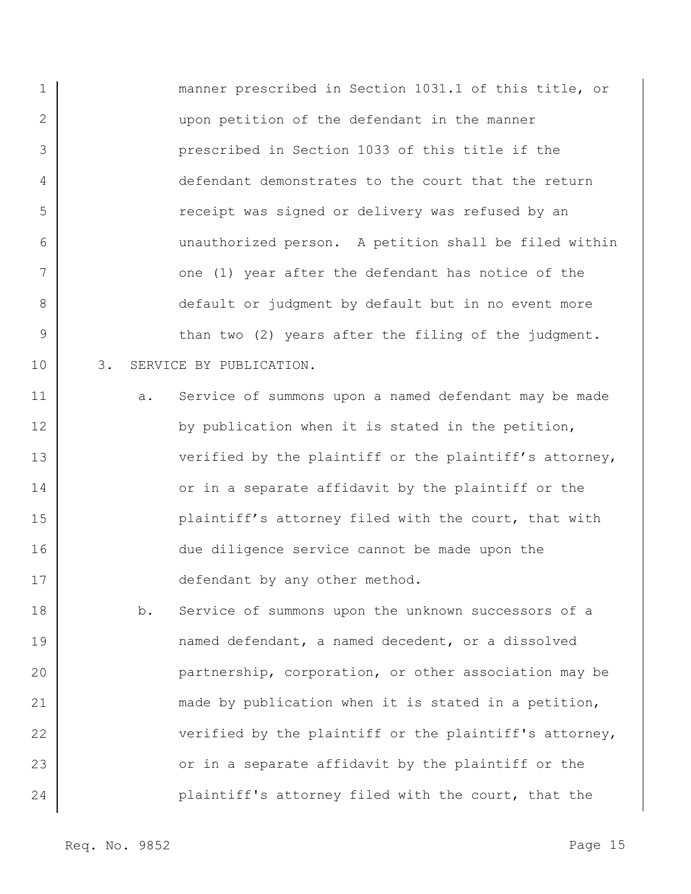manner prescribed in Section 1031.1 of this title, or upon petition of the defendant in the manner prescribed in Section 1033 of this title if the defendant demonstrates to the court that the return receipt was signed or delivery was refused by an unauthorized person. A petition shall be filed within one (1) year after the defendant has notice of the default or judgment by default but in no event more than two (2) years after the filing of the judgment. 3. SERVICE BY PUBLICATION.

- 11 12 13 14 15 16 17 a. Service of summons upon a named defendant may be made by publication when it is stated in the petition, verified by the plaintiff or the plaintiff's attorney, or in a separate affidavit by the plaintiff or the plaintiff's attorney filed with the court, that with due diligence service cannot be made upon the defendant by any other method.
- 18 19 20 21 22 23 24 b. Service of summons upon the unknown successors of a named defendant, a named decedent, or a dissolved partnership, corporation, or other association may be made by publication when it is stated in a petition, verified by the plaintiff or the plaintiff's attorney, or in a separate affidavit by the plaintiff or the plaintiff's attorney filed with the court, that the

1

2

3

4

5

6

7

8

9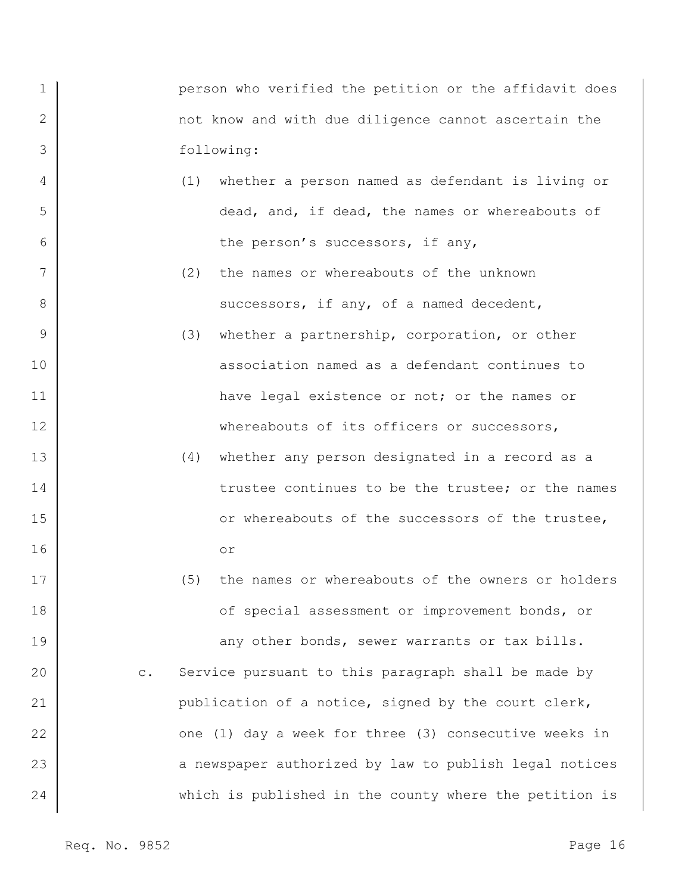1 2 3 person who verified the petition or the affidavit does not know and with due diligence cannot ascertain the following:

- (1) whether a person named as defendant is living or dead, and, if dead, the names or whereabouts of the person's successors, if any,
	- (2) the names or whereabouts of the unknown successors, if any, of a named decedent,
- (3) whether a partnership, corporation, or other association named as a defendant continues to have legal existence or not; or the names or whereabouts of its officers or successors,
- (4) whether any person designated in a record as a trustee continues to be the trustee; or the names or whereabouts of the successors of the trustee, or
- 17 18 19 20 21 22 23 24 (5) the names or whereabouts of the owners or holders of special assessment or improvement bonds, or any other bonds, sewer warrants or tax bills. c. Service pursuant to this paragraph shall be made by publication of a notice, signed by the court clerk, one (1) day a week for three (3) consecutive weeks in a newspaper authorized by law to publish legal notices which is published in the county where the petition is

4

5

6

7

8

9

10

11

12

13

14

15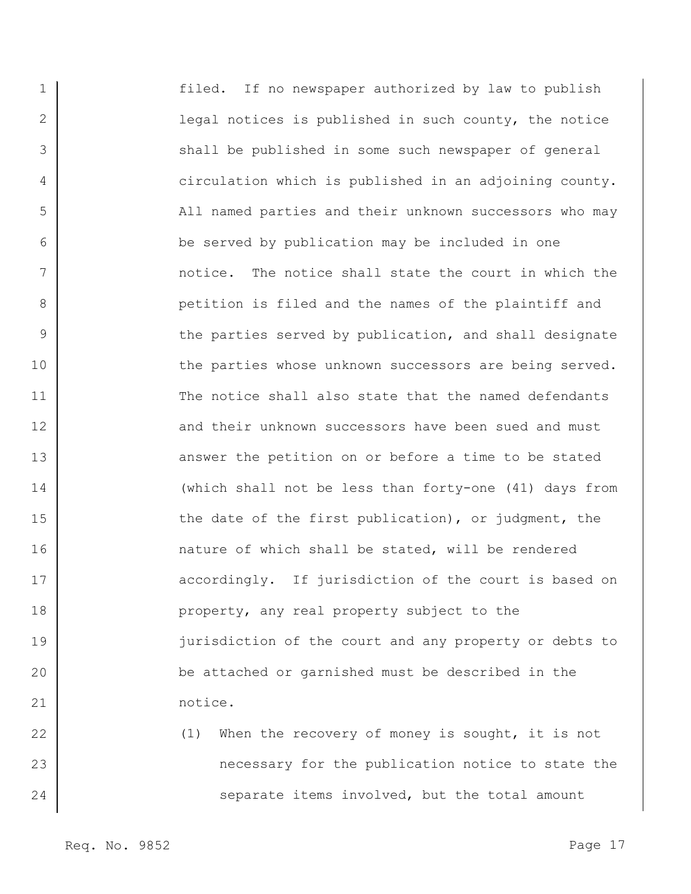1 2 3 4 5 6 7 8 9 10 11 12 13 14 15 16 17 18 19 20 21 filed. If no newspaper authorized by law to publish legal notices is published in such county, the notice shall be published in some such newspaper of general circulation which is published in an adjoining county. All named parties and their unknown successors who may be served by publication may be included in one notice. The notice shall state the court in which the petition is filed and the names of the plaintiff and the parties served by publication, and shall designate the parties whose unknown successors are being served. The notice shall also state that the named defendants and their unknown successors have been sued and must answer the petition on or before a time to be stated (which shall not be less than forty-one (41) days from the date of the first publication), or judgment, the nature of which shall be stated, will be rendered accordingly. If jurisdiction of the court is based on property, any real property subject to the jurisdiction of the court and any property or debts to be attached or garnished must be described in the notice.

(1) When the recovery of money is sought, it is not necessary for the publication notice to state the separate items involved, but the total amount

22

23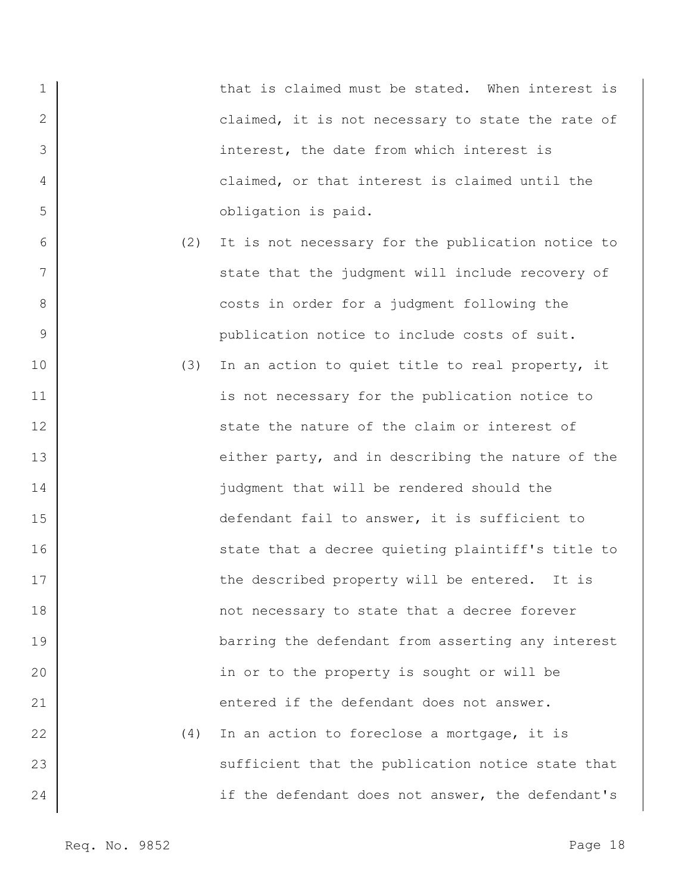| $\mathbf 1$  |     | that is claimed must be stated. When interest is  |
|--------------|-----|---------------------------------------------------|
| $\mathbf{2}$ |     | claimed, it is not necessary to state the rate of |
| 3            |     | interest, the date from which interest is         |
| 4            |     | claimed, or that interest is claimed until the    |
| 5            |     | obligation is paid.                               |
| 6            | (2) | It is not necessary for the publication notice to |
| 7            |     | state that the judgment will include recovery of  |
| 8            |     | costs in order for a judgment following the       |
| 9            |     | publication notice to include costs of suit.      |
| 10           | (3) | In an action to quiet title to real property, it  |
| 11           |     | is not necessary for the publication notice to    |
| 12           |     | state the nature of the claim or interest of      |
| 13           |     | either party, and in describing the nature of the |
| 14           |     | judgment that will be rendered should the         |
| 15           |     | defendant fail to answer, it is sufficient to     |
| 16           |     | state that a decree quieting plaintiff's title to |
| 17           |     | the described property will be entered. It is     |
| 18           |     | not necessary to state that a decree forever      |
| 19           |     | barring the defendant from asserting any interest |
| 20           |     | in or to the property is sought or will be        |
| 21           |     | entered if the defendant does not answer.         |
| 22           | (4) | In an action to foreclose a mortgage, it is       |
| 23           |     | sufficient that the publication notice state that |
| 24           |     | if the defendant does not answer, the defendant's |
|              |     |                                                   |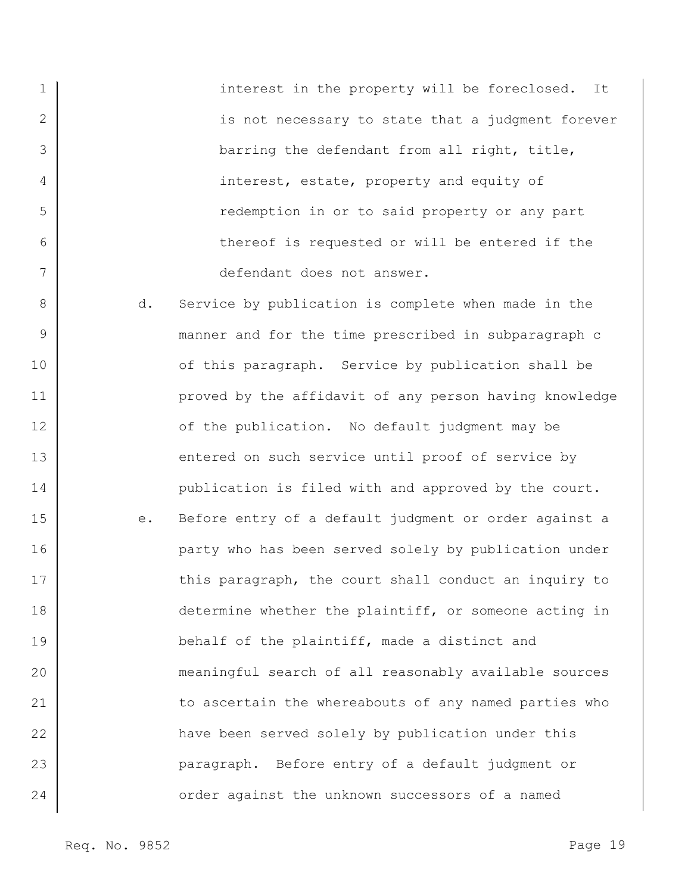interest in the property will be foreclosed. It is not necessary to state that a judgment forever barring the defendant from all right, title, interest, estate, property and equity of redemption in or to said property or any part thereof is requested or will be entered if the defendant does not answer.

d. Service by publication is complete when made in the manner and for the time prescribed in subparagraph c of this paragraph. Service by publication shall be proved by the affidavit of any person having knowledge of the publication. No default judgment may be entered on such service until proof of service by publication is filed with and approved by the court. e. Before entry of a default judgment or order against a party who has been served solely by publication under this paragraph, the court shall conduct an inquiry to determine whether the plaintiff, or someone acting in behalf of the plaintiff, made a distinct and meaningful search of all reasonably available sources to ascertain the whereabouts of any named parties who have been served solely by publication under this paragraph. Before entry of a default judgment or order against the unknown successors of a named

1

2

3

4

5

6

7

8

9

10

11

12

13

14

15

16

17

18

19

20

21

22

23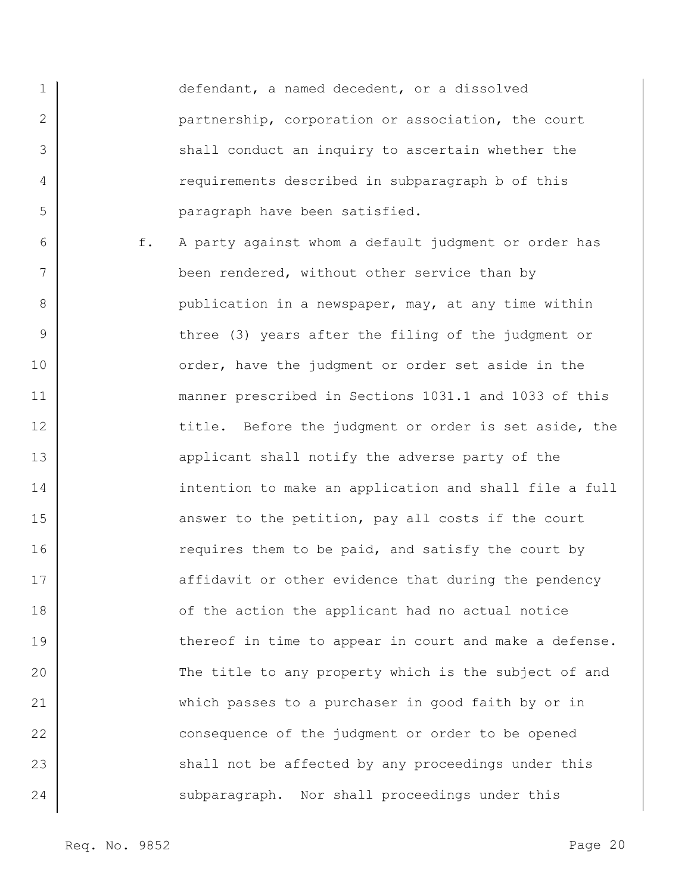defendant, a named decedent, or a dissolved partnership, corporation or association, the court shall conduct an inquiry to ascertain whether the requirements described in subparagraph b of this paragraph have been satisfied.

f. A party against whom a default judgment or order has been rendered, without other service than by publication in a newspaper, may, at any time within three (3) years after the filing of the judgment or order, have the judgment or order set aside in the manner prescribed in Sections 1031.1 and 1033 of this title. Before the judgment or order is set aside, the applicant shall notify the adverse party of the intention to make an application and shall file a full answer to the petition, pay all costs if the court requires them to be paid, and satisfy the court by affidavit or other evidence that during the pendency of the action the applicant had no actual notice thereof in time to appear in court and make a defense. The title to any property which is the subject of and which passes to a purchaser in good faith by or in consequence of the judgment or order to be opened shall not be affected by any proceedings under this subparagraph. Nor shall proceedings under this

1

2

3

4

5

6

7

8

9

10

11

12

13

14

15

16

17

18

19

20

21

22

23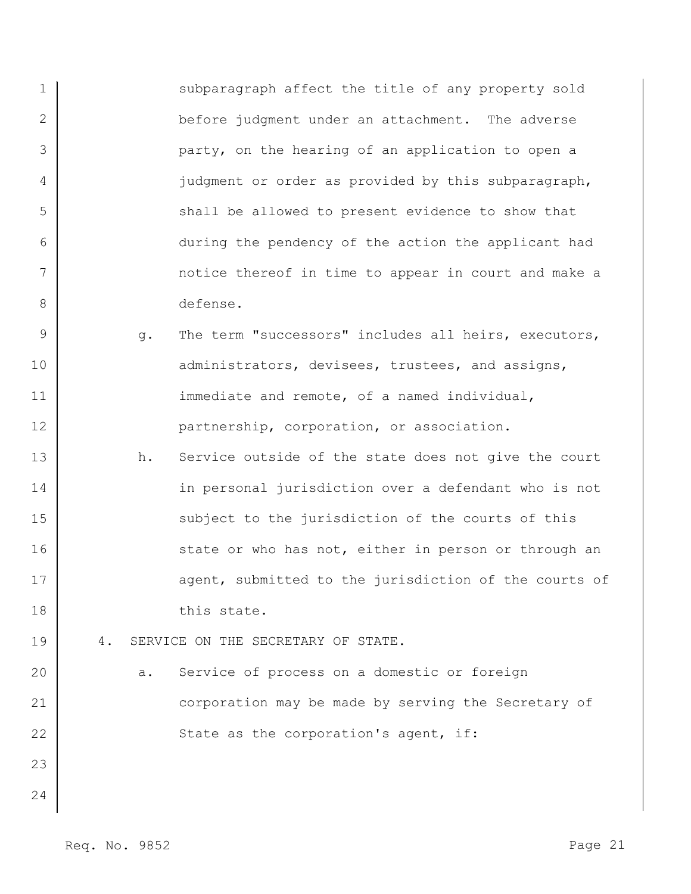subparagraph affect the title of any property sold before judgment under an attachment. The adverse party, on the hearing of an application to open a judgment or order as provided by this subparagraph, shall be allowed to present evidence to show that during the pendency of the action the applicant had notice thereof in time to appear in court and make a defense.

- 9 10 11 12 g. The term "successors" includes all heirs, executors, administrators, devisees, trustees, and assigns, immediate and remote, of a named individual, partnership, corporation, or association.
- 13 14 15 16 17 18 h. Service outside of the state does not give the court in personal jurisdiction over a defendant who is not subject to the jurisdiction of the courts of this state or who has not, either in person or through an agent, submitted to the jurisdiction of the courts of this state.
	- 4. SERVICE ON THE SECRETARY OF STATE.
- 20 21 22 a. Service of process on a domestic or foreign corporation may be made by serving the Secretary of State as the corporation's agent, if:

24

23

19

1

2

3

4

5

6

7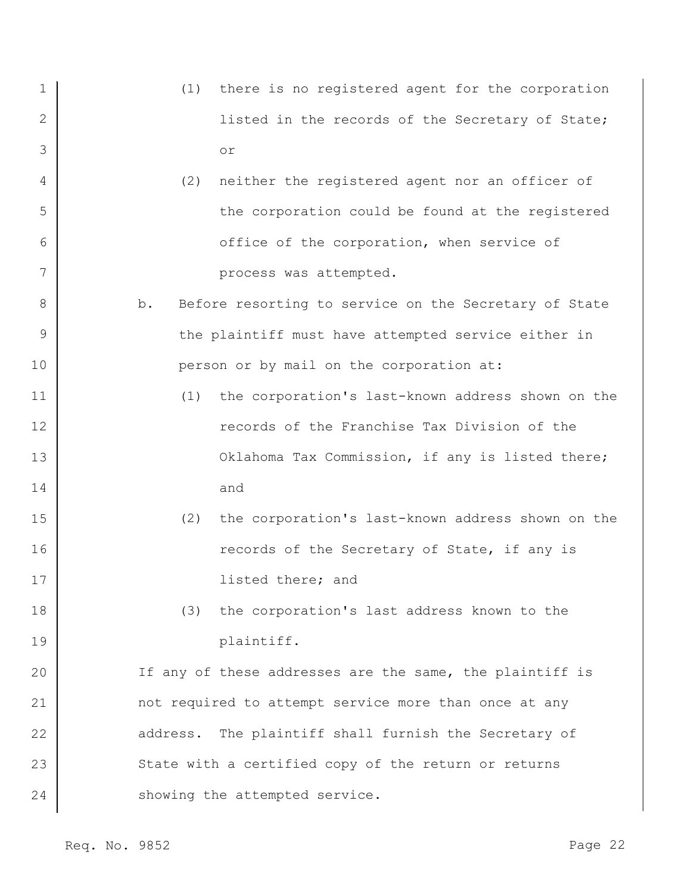- 1 2 3 (1) there is no registered agent for the corporation listed in the records of the Secretary of State; or
	- (2) neither the registered agent nor an officer of the corporation could be found at the registered office of the corporation, when service of process was attempted.
	- b. Before resorting to service on the Secretary of State the plaintiff must have attempted service either in person or by mail on the corporation at:
	- (1) the corporation's last-known address shown on the records of the Franchise Tax Division of the Oklahoma Tax Commission, if any is listed there; and
		- (2) the corporation's last-known address shown on the records of the Secretary of State, if any is listed there; and
			- (3) the corporation's last address known to the plaintiff.

20 21 22 23 24 If any of these addresses are the same, the plaintiff is not required to attempt service more than once at any address. The plaintiff shall furnish the Secretary of State with a certified copy of the return or returns showing the attempted service.

4

5

6

7

8

9

10

11

12

13

14

15

16

17

18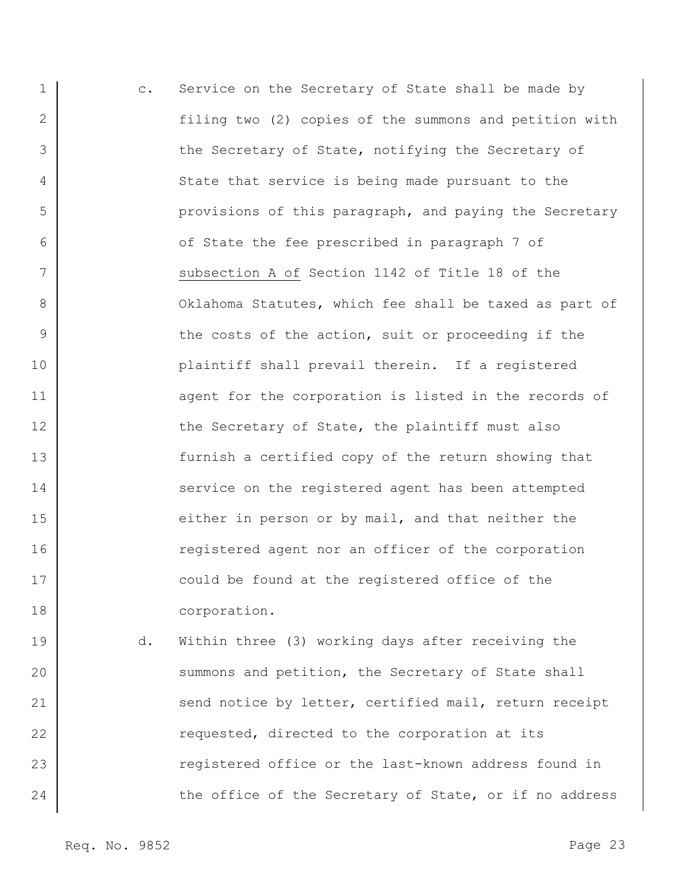1 2 3 4 5 6 7 8 9 10 11 12 13 14 15 16 17 18 19 c. Service on the Secretary of State shall be made by filing two (2) copies of the summons and petition with the Secretary of State, notifying the Secretary of State that service is being made pursuant to the provisions of this paragraph, and paying the Secretary of State the fee prescribed in paragraph 7 of subsection A of Section 1142 of Title 18 of the Oklahoma Statutes, which fee shall be taxed as part of the costs of the action, suit or proceeding if the plaintiff shall prevail therein. If a registered agent for the corporation is listed in the records of the Secretary of State, the plaintiff must also furnish a certified copy of the return showing that service on the registered agent has been attempted either in person or by mail, and that neither the registered agent nor an officer of the corporation could be found at the registered office of the corporation. d. Within three (3) working days after receiving the

20 21 22 23 24 summons and petition, the Secretary of State shall send notice by letter, certified mail, return receipt requested, directed to the corporation at its registered office or the last-known address found in the office of the Secretary of State, or if no address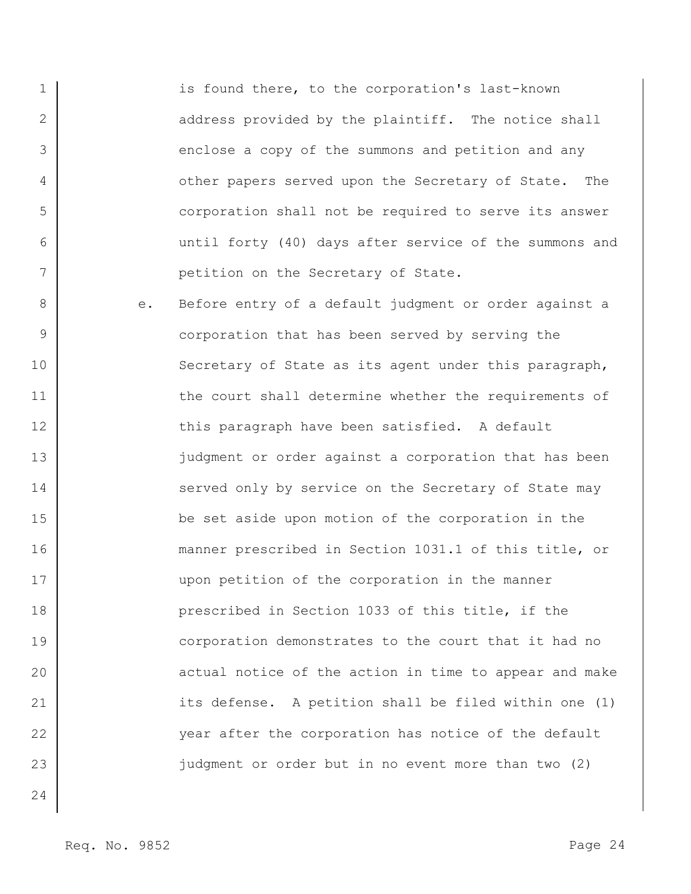is found there, to the corporation's last-known address provided by the plaintiff. The notice shall enclose a copy of the summons and petition and any other papers served upon the Secretary of State. The corporation shall not be required to serve its answer until forty (40) days after service of the summons and petition on the Secretary of State.

8 9 10 11 12 13 14 15 16 17 18 19 20 21 22 23 e. Before entry of a default judgment or order against a corporation that has been served by serving the Secretary of State as its agent under this paragraph, the court shall determine whether the requirements of this paragraph have been satisfied. A default judgment or order against a corporation that has been served only by service on the Secretary of State may be set aside upon motion of the corporation in the manner prescribed in Section 1031.1 of this title, or upon petition of the corporation in the manner prescribed in Section 1033 of this title, if the corporation demonstrates to the court that it had no actual notice of the action in time to appear and make its defense. A petition shall be filed within one (1) year after the corporation has notice of the default judgment or order but in no event more than two (2)

24

1

2

3

4

5

6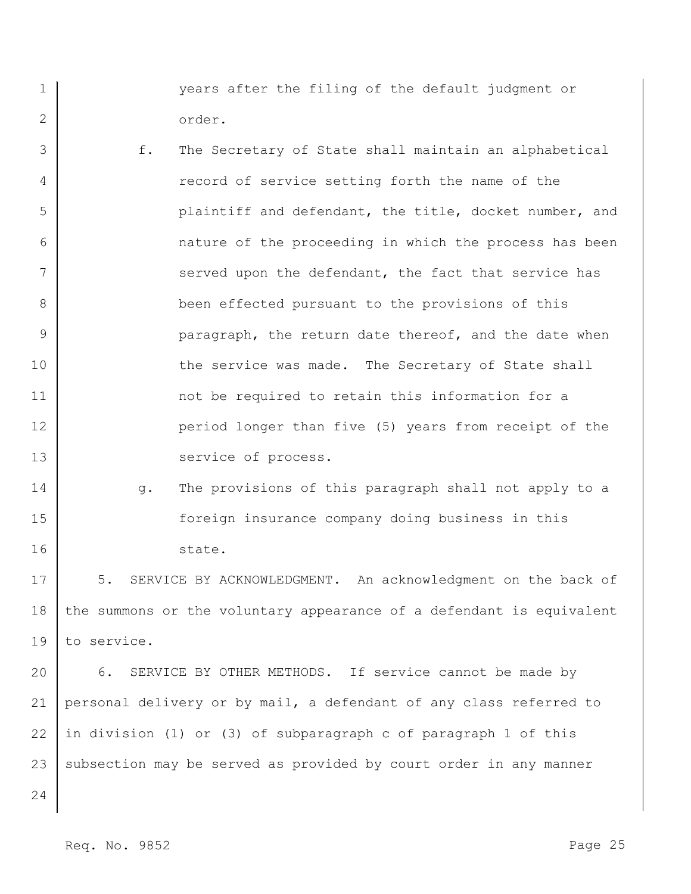years after the filing of the default judgment or order.

- 3 4 5 6 7 8 9 10 11 12 13 f. The Secretary of State shall maintain an alphabetical record of service setting forth the name of the plaintiff and defendant, the title, docket number, and nature of the proceeding in which the process has been served upon the defendant, the fact that service has been effected pursuant to the provisions of this paragraph, the return date thereof, and the date when the service was made. The Secretary of State shall not be required to retain this information for a period longer than five (5) years from receipt of the service of process.
- 14 15 16 g. The provisions of this paragraph shall not apply to a foreign insurance company doing business in this state.

17 18 19 5. SERVICE BY ACKNOWLEDGMENT. An acknowledgment on the back of the summons or the voluntary appearance of a defendant is equivalent to service.

20 21 22 23 6. SERVICE BY OTHER METHODS. If service cannot be made by personal delivery or by mail, a defendant of any class referred to in division (1) or (3) of subparagraph c of paragraph 1 of this subsection may be served as provided by court order in any manner

24

1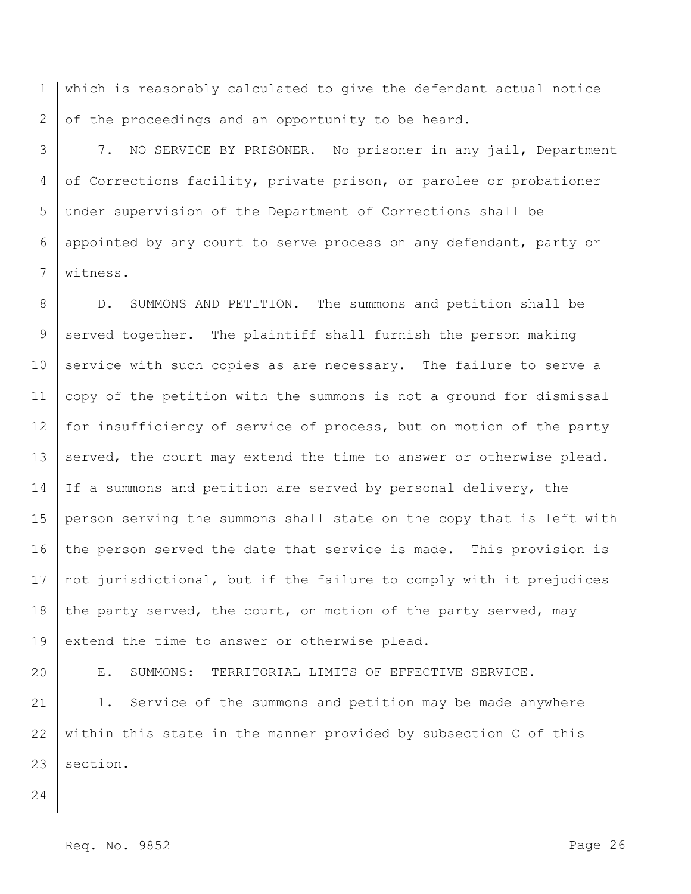1 2 which is reasonably calculated to give the defendant actual notice of the proceedings and an opportunity to be heard.

3 4 5 6 7 7. NO SERVICE BY PRISONER. No prisoner in any jail, Department of Corrections facility, private prison, or parolee or probationer under supervision of the Department of Corrections shall be appointed by any court to serve process on any defendant, party or witness.

8 9 10 11 12 13 14 15 16 17 18 19 D. SUMMONS AND PETITION. The summons and petition shall be served together. The plaintiff shall furnish the person making service with such copies as are necessary. The failure to serve a copy of the petition with the summons is not a ground for dismissal for insufficiency of service of process, but on motion of the party served, the court may extend the time to answer or otherwise plead. If a summons and petition are served by personal delivery, the person serving the summons shall state on the copy that is left with the person served the date that service is made. This provision is not jurisdictional, but if the failure to comply with it prejudices the party served, the court, on motion of the party served, may extend the time to answer or otherwise plead.

20

E. SUMMONS: TERRITORIAL LIMITS OF EFFECTIVE SERVICE.

21 22 23 1. Service of the summons and petition may be made anywhere within this state in the manner provided by subsection C of this section.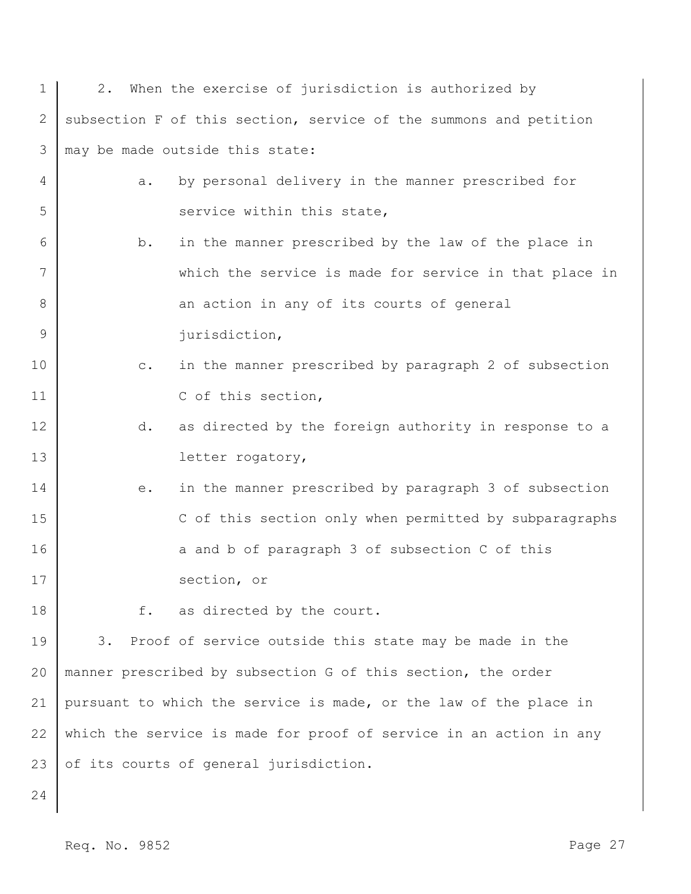| $\mathbf 1$ | 2. When the exercise of jurisdiction is authorized by                   |
|-------------|-------------------------------------------------------------------------|
| 2           | subsection F of this section, service of the summons and petition       |
| 3           | may be made outside this state:                                         |
| 4           | by personal delivery in the manner prescribed for<br>а.                 |
| 5           | service within this state,                                              |
| 6           | in the manner prescribed by the law of the place in<br>b.               |
| 7           | which the service is made for service in that place in                  |
| 8           | an action in any of its courts of general                               |
| 9           | jurisdiction,                                                           |
| 10          | in the manner prescribed by paragraph 2 of subsection<br>$\mathtt{C}$ . |
| 11          | C of this section,                                                      |
| 12          | as directed by the foreign authority in response to a<br>d.             |
| 13          | letter rogatory,                                                        |
| 14          | in the manner prescribed by paragraph 3 of subsection<br>е.             |
| 15          | C of this section only when permitted by subparagraphs                  |
| 16          | a and b of paragraph 3 of subsection C of this                          |
| 17          | section, or                                                             |
| 18          | f.<br>as directed by the court.                                         |
| 19          | Proof of service outside this state may be made in the<br>3.            |
| 20          | manner prescribed by subsection G of this section, the order            |
| 21          | pursuant to which the service is made, or the law of the place in       |
| 22          | which the service is made for proof of service in an action in any      |
| 23          | of its courts of general jurisdiction.                                  |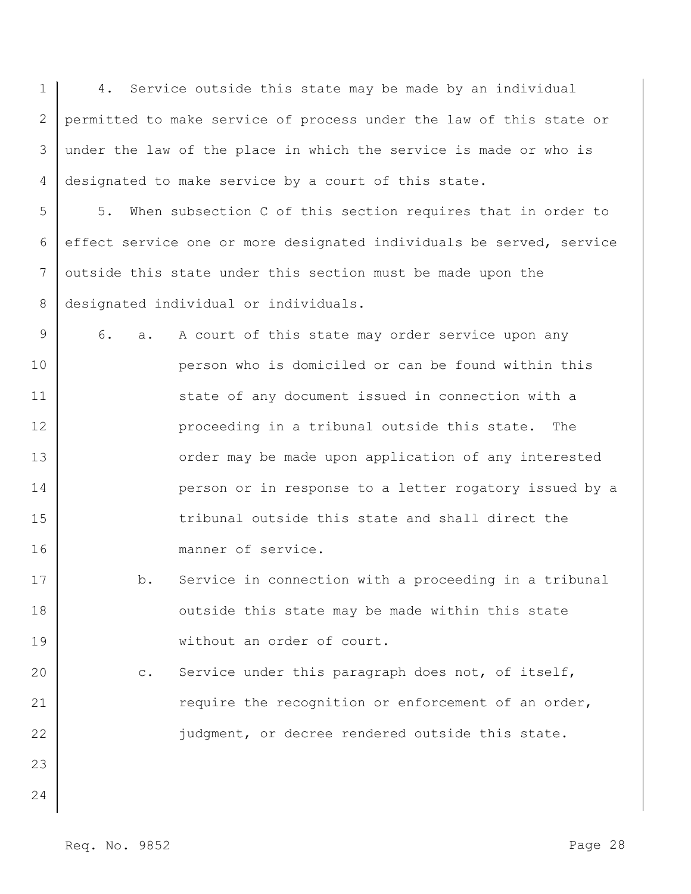1 2 3 4 4. Service outside this state may be made by an individual permitted to make service of process under the law of this state or under the law of the place in which the service is made or who is designated to make service by a court of this state.

5 6 7 8 5. When subsection C of this section requires that in order to effect service one or more designated individuals be served, service outside this state under this section must be made upon the designated individual or individuals.

9 10 11 12 13 14 15 16 6. a. A court of this state may order service upon any person who is domiciled or can be found within this state of any document issued in connection with a proceeding in a tribunal outside this state. The order may be made upon application of any interested person or in response to a letter rogatory issued by a tribunal outside this state and shall direct the manner of service.

17 18 19 b. Service in connection with a proceeding in a tribunal outside this state may be made within this state without an order of court.

20 21 22 c. Service under this paragraph does not, of itself, require the recognition or enforcement of an order, judgment, or decree rendered outside this state.

24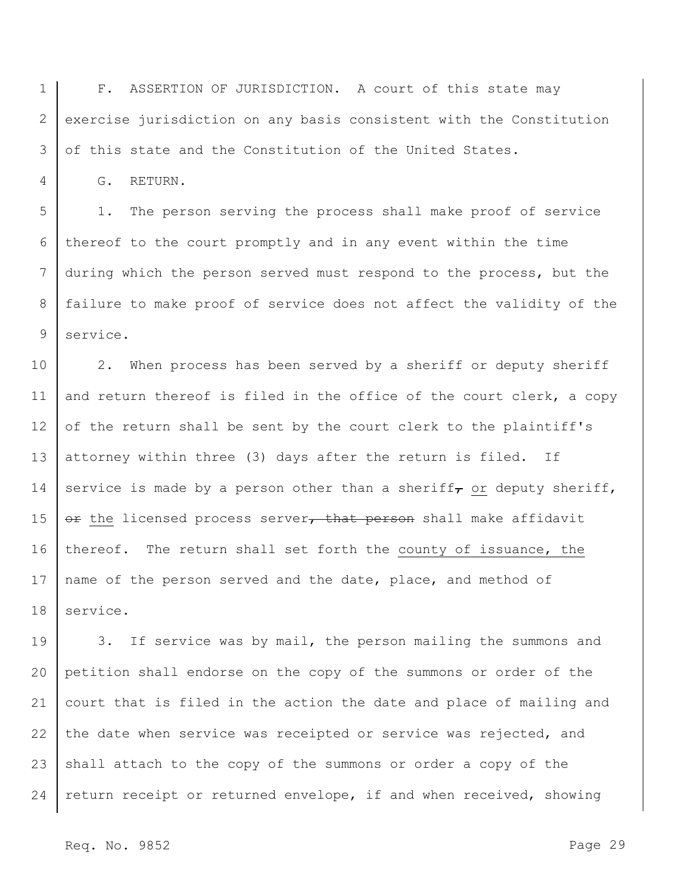1 2 3 F. ASSERTION OF JURISDICTION. A court of this state may exercise jurisdiction on any basis consistent with the Constitution of this state and the Constitution of the United States.

G. RETURN.

4

5 6 7 8 9 1. The person serving the process shall make proof of service thereof to the court promptly and in any event within the time during which the person served must respond to the process, but the failure to make proof of service does not affect the validity of the service.

10 11 12 13 14 15 16 17 18 2. When process has been served by a sheriff or deputy sheriff and return thereof is filed in the office of the court clerk, a copy of the return shall be sent by the court clerk to the plaintiff's attorney within three (3) days after the return is filed. If service is made by a person other than a sheriff, or deputy sheriff, or the licensed process server, that person shall make affidavit thereof. The return shall set forth the county of issuance, the name of the person served and the date, place, and method of service.

19 20 21 22 23 24 3. If service was by mail, the person mailing the summons and petition shall endorse on the copy of the summons or order of the court that is filed in the action the date and place of mailing and the date when service was receipted or service was rejected, and shall attach to the copy of the summons or order a copy of the return receipt or returned envelope, if and when received, showing

## Req. No. 9852 Page 29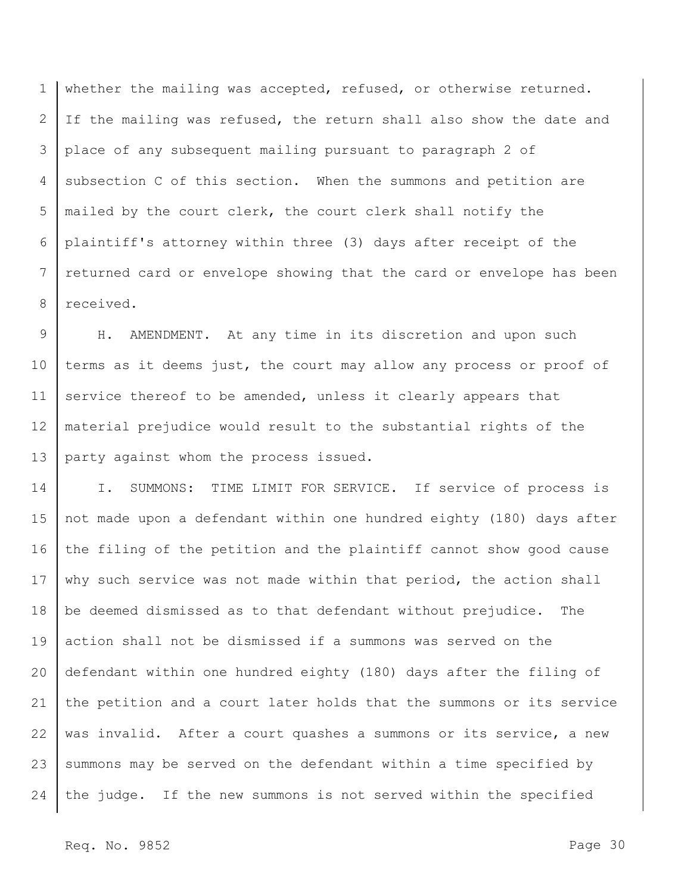1 2 3 4 5 6 7 8 whether the mailing was accepted, refused, or otherwise returned. If the mailing was refused, the return shall also show the date and place of any subsequent mailing pursuant to paragraph 2 of subsection C of this section. When the summons and petition are mailed by the court clerk, the court clerk shall notify the plaintiff's attorney within three (3) days after receipt of the returned card or envelope showing that the card or envelope has been received.

9 10 11 12 13 H. AMENDMENT. At any time in its discretion and upon such terms as it deems just, the court may allow any process or proof of service thereof to be amended, unless it clearly appears that material prejudice would result to the substantial rights of the party against whom the process issued.

14 15 16 17 18 19 20 21 22 23 24 I. SUMMONS: TIME LIMIT FOR SERVICE. If service of process is not made upon a defendant within one hundred eighty (180) days after the filing of the petition and the plaintiff cannot show good cause why such service was not made within that period, the action shall be deemed dismissed as to that defendant without prejudice. The action shall not be dismissed if a summons was served on the defendant within one hundred eighty (180) days after the filing of the petition and a court later holds that the summons or its service was invalid. After a court quashes a summons or its service, a new summons may be served on the defendant within a time specified by the judge. If the new summons is not served within the specified

Req. No. 9852 Page 30